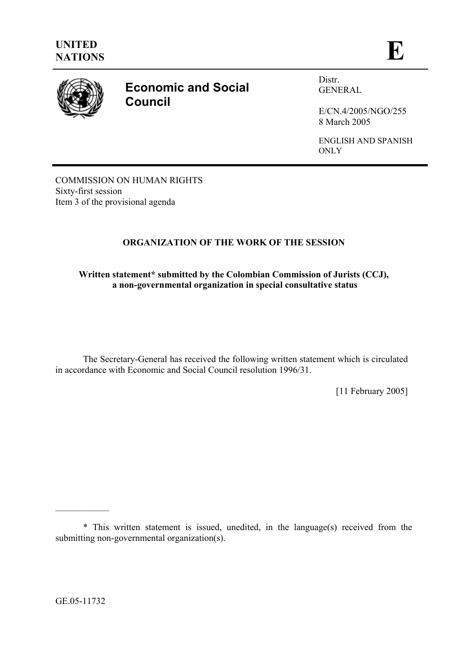

# **Economic and Social Council**

Distr. GENERAL

E/CN.4/2005/NGO/255 8 March 2005

ENGLISH AND SPANISH **ONLY** 

COMMISSION ON HUMAN RIGHTS Sixty-first session Item 3 of the provisional agenda

# **ORGANIZATION OF THE WORK OF THE SESSION**

# **Written statement\* submitted by the Colombian Commission of Jurists (CCJ), a non-governmental organization in special consultative status**

The Secretary-General has received the following written statement which is circulated in accordance with Economic and Social Council resolution 1996/31.

[11 February 2005]

 $\mathcal{L}=\mathcal{L}^{\mathcal{L}}$ 

<sup>\*</sup> This written statement is issued, unedited, in the language(s) received from the submitting non-governmental organization(s).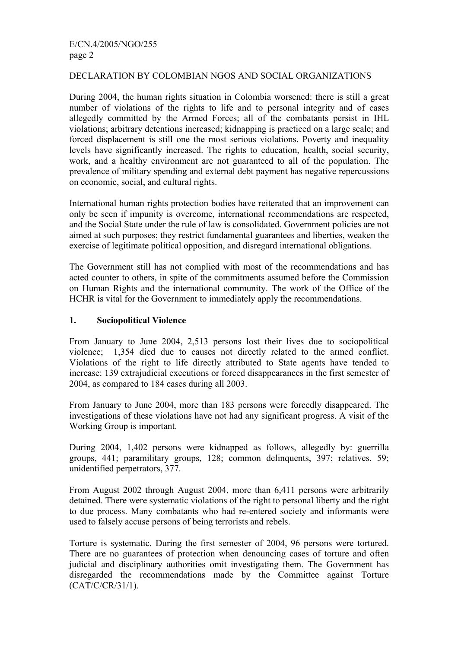# DECLARATION BY COLOMBIAN NGOS AND SOCIAL ORGANIZATIONS

During 2004, the human rights situation in Colombia worsened: there is still a great number of violations of the rights to life and to personal integrity and of cases allegedly committed by the Armed Forces; all of the combatants persist in IHL violations; arbitrary detentions increased; kidnapping is practiced on a large scale; and forced displacement is still one the most serious violations. Poverty and inequality levels have significantly increased. The rights to education, health, social security, work, and a healthy environment are not guaranteed to all of the population. The prevalence of military spending and external debt payment has negative repercussions on economic, social, and cultural rights.

International human rights protection bodies have reiterated that an improvement can only be seen if impunity is overcome, international recommendations are respected, and the Social State under the rule of law is consolidated. Government policies are not aimed at such purposes; they restrict fundamental guarantees and liberties, weaken the exercise of legitimate political opposition, and disregard international obligations.

The Government still has not complied with most of the recommendations and has acted counter to others, in spite of the commitments assumed before the Commission on Human Rights and the international community. The work of the Office of the HCHR is vital for the Government to immediately apply the recommendations.

#### **1. Sociopolitical Violence**

From January to June 2004, 2,513 persons lost their lives due to sociopolitical violence; 1,354 died due to causes not directly related to the armed conflict. Violations of the right to life directly attributed to State agents have tended to increase: 139 extrajudicial executions or forced disappearances in the first semester of 2004, as compared to 184 cases during all 2003.

From January to June 2004, more than 183 persons were forcedly disappeared. The investigations of these violations have not had any significant progress. A visit of the Working Group is important.

During 2004, 1,402 persons were kidnapped as follows, allegedly by: guerrilla groups, 441; paramilitary groups, 128; common delinquents, 397; relatives, 59; unidentified perpetrators, 377.

From August 2002 through August 2004, more than 6,411 persons were arbitrarily detained. There were systematic violations of the right to personal liberty and the right to due process. Many combatants who had re-entered society and informants were used to falsely accuse persons of being terrorists and rebels.

Torture is systematic. During the first semester of 2004, 96 persons were tortured. There are no guarantees of protection when denouncing cases of torture and often judicial and disciplinary authorities omit investigating them. The Government has disregarded the recommendations made by the Committee against Torture (CAT/C/CR/31/1).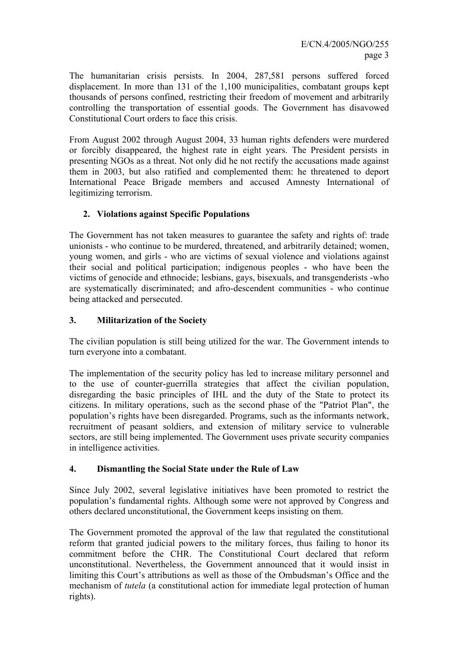The humanitarian crisis persists. In 2004, 287,581 persons suffered forced displacement. In more than 131 of the 1,100 municipalities, combatant groups kept thousands of persons confined, restricting their freedom of movement and arbitrarily controlling the transportation of essential goods. The Government has disavowed Constitutional Court orders to face this crisis.

From August 2002 through August 2004, 33 human rights defenders were murdered or forcibly disappeared, the highest rate in eight years. The President persists in presenting NGOs as a threat. Not only did he not rectify the accusations made against them in 2003, but also ratified and complemented them: he threatened to deport International Peace Brigade members and accused Amnesty International of legitimizing terrorism.

#### **2. Violations against Specific Populations**

The Government has not taken measures to guarantee the safety and rights of: trade unionists - who continue to be murdered, threatened, and arbitrarily detained; women, young women, and girls - who are victims of sexual violence and violations against their social and political participation; indigenous peoples - who have been the victims of genocide and ethnocide; lesbians, gays, bisexuals, and transgenderists -who are systematically discriminated; and afro-descendent communities - who continue being attacked and persecuted.

# **3. Militarization of the Society**

The civilian population is still being utilized for the war. The Government intends to turn everyone into a combatant.

The implementation of the security policy has led to increase military personnel and to the use of counter-guerrilla strategies that affect the civilian population, disregarding the basic principles of IHL and the duty of the State to protect its citizens. In military operations, such as the second phase of the "Patriot Plan", the population's rights have been disregarded. Programs, such as the informants network, recruitment of peasant soldiers, and extension of military service to vulnerable sectors, are still being implemented. The Government uses private security companies in intelligence activities.

#### **4. Dismantling the Social State under the Rule of Law**

Since July 2002, several legislative initiatives have been promoted to restrict the population's fundamental rights. Although some were not approved by Congress and others declared unconstitutional, the Government keeps insisting on them.

The Government promoted the approval of the law that regulated the constitutional reform that granted judicial powers to the military forces, thus failing to honor its commitment before the CHR. The Constitutional Court declared that reform unconstitutional. Nevertheless, the Government announced that it would insist in limiting this Court's attributions as well as those of the Ombudsman's Office and the mechanism of *tutela* (a constitutional action for immediate legal protection of human rights).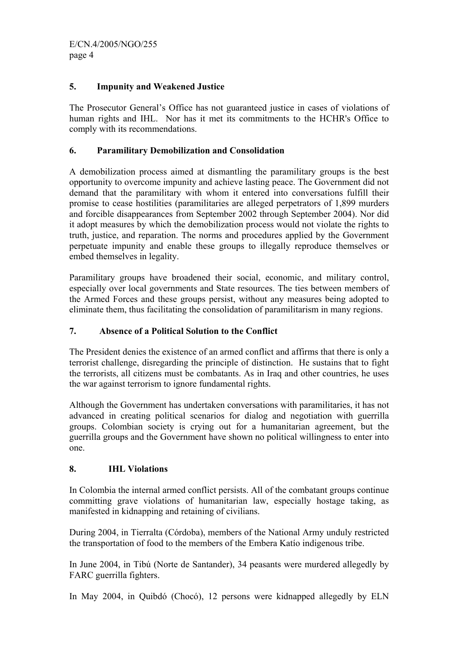# **5. Impunity and Weakened Justice**

The Prosecutor General's Office has not guaranteed justice in cases of violations of human rights and IHL. Nor has it met its commitments to the HCHR's Office to comply with its recommendations.

# **6. Paramilitary Demobilization and Consolidation**

A demobilization process aimed at dismantling the paramilitary groups is the best opportunity to overcome impunity and achieve lasting peace. The Government did not demand that the paramilitary with whom it entered into conversations fulfill their promise to cease hostilities (paramilitaries are alleged perpetrators of 1,899 murders and forcible disappearances from September 2002 through September 2004). Nor did it adopt measures by which the demobilization process would not violate the rights to truth, justice, and reparation. The norms and procedures applied by the Government perpetuate impunity and enable these groups to illegally reproduce themselves or embed themselves in legality.

Paramilitary groups have broadened their social, economic, and military control, especially over local governments and State resources. The ties between members of the Armed Forces and these groups persist, without any measures being adopted to eliminate them, thus facilitating the consolidation of paramilitarism in many regions.

#### **7. Absence of a Political Solution to the Conflict**

The President denies the existence of an armed conflict and affirms that there is only a terrorist challenge, disregarding the principle of distinction. He sustains that to fight the terrorists, all citizens must be combatants. As in Iraq and other countries, he uses the war against terrorism to ignore fundamental rights.

Although the Government has undertaken conversations with paramilitaries, it has not advanced in creating political scenarios for dialog and negotiation with guerrilla groups. Colombian society is crying out for a humanitarian agreement, but the guerrilla groups and the Government have shown no political willingness to enter into one.

#### **8. IHL Violations**

In Colombia the internal armed conflict persists. All of the combatant groups continue committing grave violations of humanitarian law, especially hostage taking, as manifested in kidnapping and retaining of civilians.

During 2004, in Tierralta (Córdoba), members of the National Army unduly restricted the transportation of food to the members of the Embera Katío indigenous tribe.

In June 2004, in Tibú (Norte de Santander), 34 peasants were murdered allegedly by FARC guerrilla fighters.

In May 2004, in Quibdó (Chocó), 12 persons were kidnapped allegedly by ELN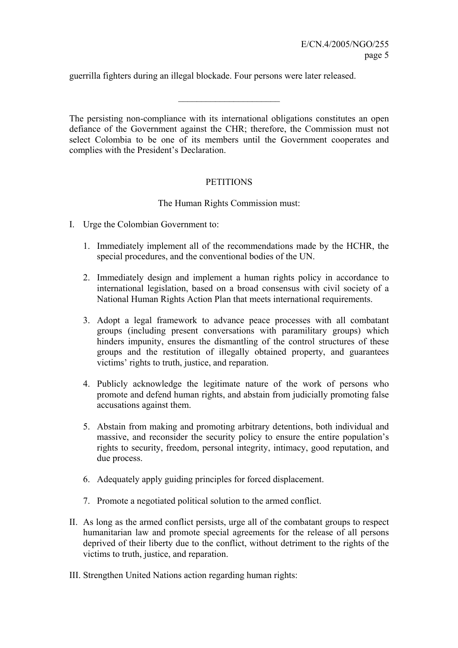guerrilla fighters during an illegal blockade. Four persons were later released.

The persisting non-compliance with its international obligations constitutes an open defiance of the Government against the CHR; therefore, the Commission must not select Colombia to be one of its members until the Government cooperates and complies with the President's Declaration.

 $\overline{\phantom{a}}$  , where  $\overline{\phantom{a}}$  , where  $\overline{\phantom{a}}$  , where  $\overline{\phantom{a}}$ 

#### **PETITIONS**

#### The Human Rights Commission must:

- I. Urge the Colombian Government to:
	- 1. Immediately implement all of the recommendations made by the HCHR, the special procedures, and the conventional bodies of the UN.
	- 2. Immediately design and implement a human rights policy in accordance to international legislation, based on a broad consensus with civil society of a National Human Rights Action Plan that meets international requirements.
	- 3. Adopt a legal framework to advance peace processes with all combatant groups (including present conversations with paramilitary groups) which hinders impunity, ensures the dismantling of the control structures of these groups and the restitution of illegally obtained property, and guarantees victims' rights to truth, justice, and reparation.
	- 4. Publicly acknowledge the legitimate nature of the work of persons who promote and defend human rights, and abstain from judicially promoting false accusations against them.
	- 5. Abstain from making and promoting arbitrary detentions, both individual and massive, and reconsider the security policy to ensure the entire population's rights to security, freedom, personal integrity, intimacy, good reputation, and due process.
	- 6. Adequately apply guiding principles for forced displacement.
	- 7. Promote a negotiated political solution to the armed conflict.
- II. As long as the armed conflict persists, urge all of the combatant groups to respect humanitarian law and promote special agreements for the release of all persons deprived of their liberty due to the conflict, without detriment to the rights of the victims to truth, justice, and reparation.
- III. Strengthen United Nations action regarding human rights: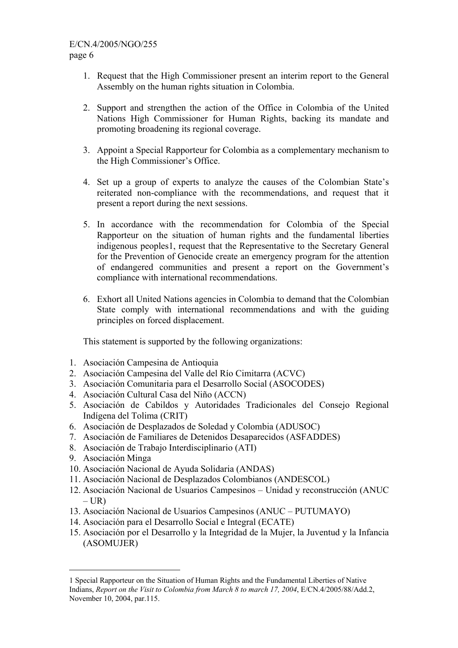- 1. Request that the High Commissioner present an interim report to the General Assembly on the human rights situation in Colombia.
- 2. Support and strengthen the action of the Office in Colombia of the United Nations High Commissioner for Human Rights, backing its mandate and promoting broadening its regional coverage.
- 3. Appoint a Special Rapporteur for Colombia as a complementary mechanism to the High Commissioner's Office.
- 4. Set up a group of experts to analyze the causes of the Colombian State's reiterated non-compliance with the recommendations, and request that it present a report during the next sessions.
- 5. In accordance with the recommendation for Colombia of the Special Rapporteur on the situation of human rights and the fundamental liberties indigenous peoples1, request that the Representative to the Secretary General for the Prevention of Genocide create an emergency program for the attention of endangered communities and present a report on the Government's compliance with international recommendations.
- 6. Exhort all United Nations agencies in Colombia to demand that the Colombian State comply with international recommendations and with the guiding principles on forced displacement.

This statement is supported by the following organizations:

- 1. Asociación Campesina de Antioquia
- 2. Asociación Campesina del Valle del Río Cimitarra (ACVC)
- 3. Asociación Comunitaria para el Desarrollo Social (ASOCODES)
- 4. Asociación Cultural Casa del Niño (ACCN)
- 5. Asociación de Cabildos y Autoridades Tradicionales del Consejo Regional Indígena del Tolima (CRIT)
- 6. Asociación de Desplazados de Soledad y Colombia (ADUSOC)
- 7. Asociación de Familiares de Detenidos Desaparecidos (ASFADDES)
- 8. Asociación de Trabajo Interdisciplinario (ATI)
- 9. Asociación Minga

i<br>Li

- 10. Asociación Nacional de Ayuda Solidaria (ANDAS)
- 11. Asociación Nacional de Desplazados Colombianos (ANDESCOL)
- 12. Asociación Nacional de Usuarios Campesinos Unidad y reconstrucción (ANUC  $- **UR**$
- 13. Asociación Nacional de Usuarios Campesinos (ANUC PUTUMAYO)
- 14. Asociación para el Desarrollo Social e Integral (ECATE)
- 15. Asociación por el Desarrollo y la Integridad de la Mujer, la Juventud y la Infancia (ASOMUJER)

<sup>1</sup> Special Rapporteur on the Situation of Human Rights and the Fundamental Liberties of Native Indians, *Report on the Visit to Colombia from March 8 to march 17, 2004*, E/CN.4/2005/88/Add.2, November 10, 2004, par.115.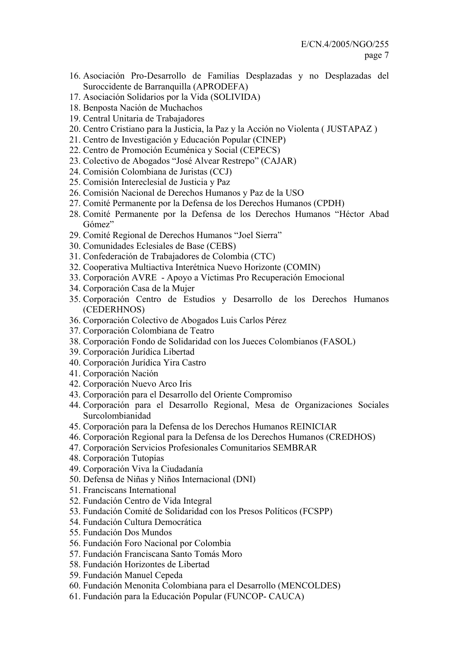- 16. Asociación Pro-Desarrollo de Familias Desplazadas y no Desplazadas del Suroccidente de Barranquilla (APRODEFA)
- 17. Asociación Solidarios por la Vida (SOLIVIDA)
- 18. Benposta Nación de Muchachos
- 19. Central Unitaria de Trabajadores
- 20. Centro Cristiano para la Justicia, la Paz y la Acción no Violenta ( JUSTAPAZ )
- 21. Centro de Investigación y Educación Popular (CINEP)
- 22. Centro de Promoción Ecuménica y Social (CEPECS)
- 23. Colectivo de Abogados "José Alvear Restrepo" (CAJAR)
- 24. Comisión Colombiana de Juristas (CCJ)
- 25. Comisión Intereclesial de Justicia y Paz
- 26. Comisión Nacional de Derechos Humanos y Paz de la USO
- 27. Comité Permanente por la Defensa de los Derechos Humanos (CPDH)
- 28. Comité Permanente por la Defensa de los Derechos Humanos "Héctor Abad Gómez"
- 29. Comité Regional de Derechos Humanos "Joel Sierra"
- 30. Comunidades Eclesiales de Base (CEBS)
- 31. Confederación de Trabajadores de Colombia (CTC)
- 32. Cooperativa Multiactiva Interétnica Nuevo Horizonte (COMIN)
- 33. Corporación AVRE Apoyo a Víctimas Pro Recuperación Emocional
- 34. Corporación Casa de la Mujer
- 35. Corporación Centro de Estudios y Desarrollo de los Derechos Humanos (CEDERHNOS)
- 36. Corporación Colectivo de Abogados Luis Carlos Pérez
- 37. Corporación Colombiana de Teatro
- 38. Corporación Fondo de Solidaridad con los Jueces Colombianos (FASOL)
- 39. Corporación Jurídica Libertad
- 40. Corporación Jurídica Yira Castro
- 41. Corporación Nación
- 42. Corporación Nuevo Arco Iris
- 43. Corporación para el Desarrollo del Oriente Compromiso
- 44. Corporación para el Desarrollo Regional, Mesa de Organizaciones Sociales Surcolombianidad
- 45. Corporación para la Defensa de los Derechos Humanos REINICIAR
- 46. Corporación Regional para la Defensa de los Derechos Humanos (CREDHOS)
- 47. Corporación Servicios Profesionales Comunitarios SEMBRAR
- 48. Corporación Tutopías
- 49. Corporación Viva la Ciudadanía
- 50. Defensa de Niñas y Niños Internacional (DNI)
- 51. Franciscans International
- 52. Fundación Centro de Vida Integral
- 53. Fundación Comité de Solidaridad con los Presos Políticos (FCSPP)
- 54. Fundación Cultura Democrática
- 55. Fundación Dos Mundos
- 56. Fundación Foro Nacional por Colombia
- 57. Fundación Franciscana Santo Tomás Moro
- 58. Fundación Horizontes de Libertad
- 59. Fundación Manuel Cepeda
- 60. Fundación Menonita Colombiana para el Desarrollo (MENCOLDES)
- 61. Fundación para la Educación Popular (FUNCOP- CAUCA)